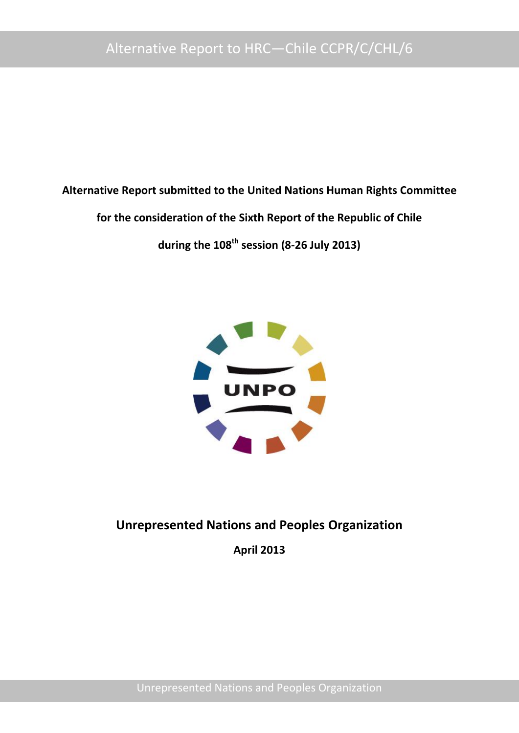**Alternative Report submitted to the United Nations Human Rights Committee**

**for the consideration of the Sixth Report of the Republic of Chile** 

**during the 108th session (8-26 July 2013)**



**Unrepresented Nations and Peoples Organization**

**April 2013**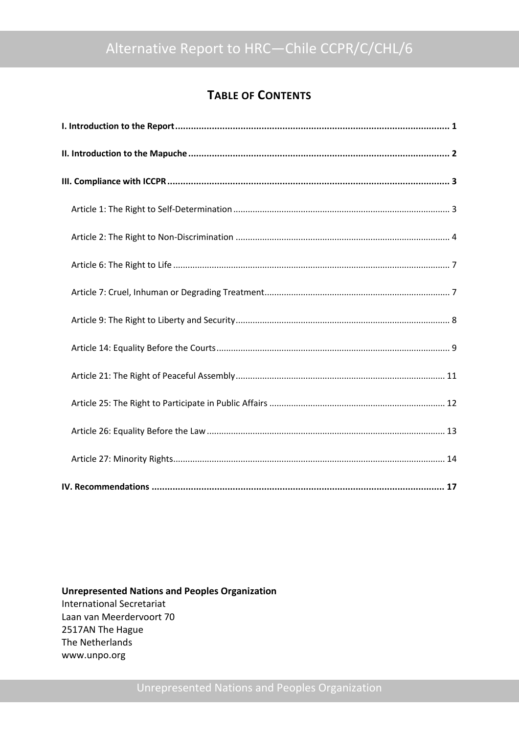# **TABLE OF CONTENTS**

**Unrepresented Nations and Peoples Organization** International Secretariat Laan van Meerdervoort 70 2517AN The Hague The Netherlands www.unpo.org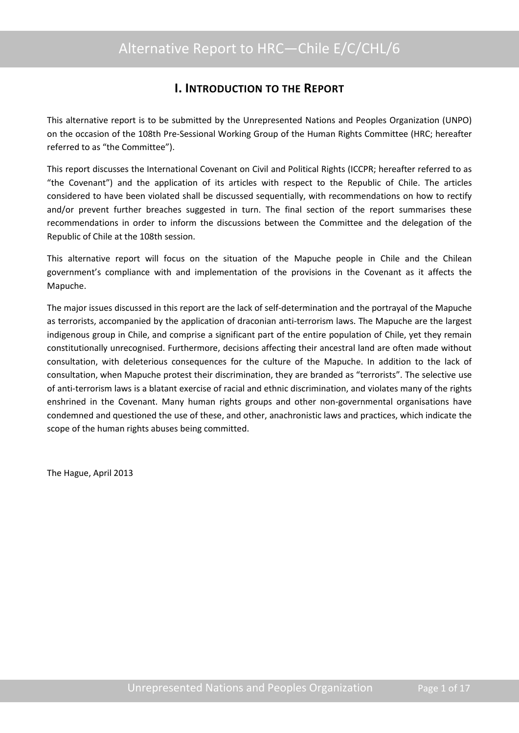# **I. INTRODUCTION TO THE REPORT**

<span id="page-2-0"></span>This alternative report is to be submitted by the Unrepresented Nations and Peoples Organization (UNPO) on the occasion of the 108th Pre-Sessional Working Group of the Human Rights Committee (HRC; hereafter referred to as "the Committee").

This report discusses the International Covenant on Civil and Political Rights (ICCPR; hereafter referred to as "the Covenant") and the application of its articles with respect to the Republic of Chile. The articles considered to have been violated shall be discussed sequentially, with recommendations on how to rectify and/or prevent further breaches suggested in turn. The final section of the report summarises these recommendations in order to inform the discussions between the Committee and the delegation of the Republic of Chile at the 108th session.

This alternative report will focus on the situation of the Mapuche people in Chile and the Chilean government's compliance with and implementation of the provisions in the Covenant as it affects the Mapuche.

The major issues discussed in this report are the lack of self-determination and the portrayal of the Mapuche as terrorists, accompanied by the application of draconian anti-terrorism laws. The Mapuche are the largest indigenous group in Chile, and comprise a significant part of the entire population of Chile, yet they remain constitutionally unrecognised. Furthermore, decisions affecting their ancestral land are often made without consultation, with deleterious consequences for the culture of the Mapuche. In addition to the lack of consultation, when Mapuche protest their discrimination, they are branded as "terrorists". The selective use of anti-terrorism laws is a blatant exercise of racial and ethnic discrimination, and violates many of the rights enshrined in the Covenant. Many human rights groups and other non-governmental organisations have condemned and questioned the use of these, and other, anachronistic laws and practices, which indicate the scope of the human rights abuses being committed.

The Hague, April 2013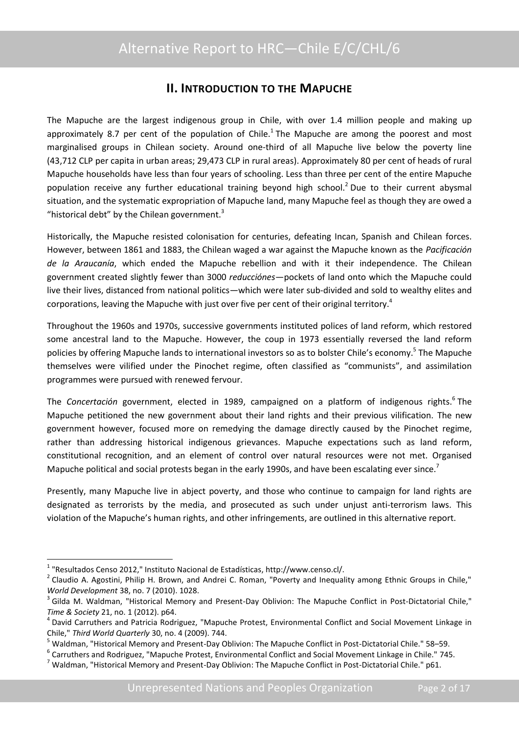## **II. INTRODUCTION TO THE MAPUCHE**

<span id="page-3-0"></span>The Mapuche are the largest indigenous group in Chile, with over 1.4 million people and making up approximately 8.7 per cent of the population of Chile.<sup>1</sup> The Mapuche are among the poorest and most marginalised groups in Chilean society. Around one-third of all Mapuche live below the poverty line (43,712 CLP per capita in urban areas; 29,473 CLP in rural areas). Approximately 80 per cent of heads of rural Mapuche households have less than four years of schooling. Less than three per cent of the entire Mapuche population receive any further educational training beyond high school.<sup>2</sup> Due to their current abysmal situation, and the systematic expropriation of Mapuche land, many Mapuche feel as though they are owed a "historical debt" by the Chilean government. $3$ 

Historically, the Mapuche resisted colonisation for centuries, defeating Incan, Spanish and Chilean forces. However, between 1861 and 1883, the Chilean waged a war against the Mapuche known as the *Pacificación de la Araucanía*, which ended the Mapuche rebellion and with it their independence. The Chilean government created slightly fewer than 3000 *reducciónes*—pockets of land onto which the Mapuche could live their lives, distanced from national politics—which were later sub-divided and sold to wealthy elites and corporations, leaving the Mapuche with just over five per cent of their original territory.<sup>4</sup>

Throughout the 1960s and 1970s, successive governments instituted polices of land reform, which restored some ancestral land to the Mapuche. However, the coup in 1973 essentially reversed the land reform policies by offering Mapuche lands to international investors so as to bolster Chile's economy.<sup>5</sup> The Mapuche themselves were vilified under the Pinochet regime, often classified as "communists", and assimilation programmes were pursued with renewed fervour.

The Concertación government, elected in 1989, campaigned on a platform of indigenous rights.<sup>6</sup> The Mapuche petitioned the new government about their land rights and their previous vilification. The new government however, focused more on remedying the damage directly caused by the Pinochet regime, rather than addressing historical indigenous grievances. Mapuche expectations such as land reform, constitutional recognition, and an element of control over natural resources were not met. Organised Mapuche political and social protests began in the early 1990s, and have been escalating ever since.<sup>7</sup>

Presently, many Mapuche live in abject poverty, and those who continue to campaign for land rights are designated as terrorists by the media, and prosecuted as such under unjust anti-terrorism laws. This violation of the Mapuche's human rights, and other infringements, are outlined in this alternative report.

<sup>&</sup>lt;sup>1</sup> "Resultados Censo 2012," Instituto Nacional de Estadísticas, http://www.censo.cl/.

<sup>&</sup>lt;sup>2</sup> Claudio A. Agostini, Philip H. Brown, and Andrei C. Roman, "Poverty and Inequality among Ethnic Groups in Chile," *World Development* 38, no. 7 (2010). 1028.

<sup>&</sup>lt;sup>3</sup> Gilda M. Waldman, "Historical Memory and Present-Day Oblivion: The Mapuche Conflict in Post-Dictatorial Chile," *Time & Society* 21, no. 1 (2012). p64.

<sup>&</sup>lt;sup>4</sup> David Carruthers and Patricia Rodriguez, "Mapuche Protest, Environmental Conflict and Social Movement Linkage in Chile," *Third World Quarterly* 30, no. 4 (2009). 744.

<sup>5</sup> Waldman, "Historical Memory and Present-Day Oblivion: The Mapuche Conflict in Post-Dictatorial Chile." 58–59.

<sup>6</sup> Carruthers and Rodriguez, "Mapuche Protest, Environmental Conflict and Social Movement Linkage in Chile." 745.

 $7$  Waldman, "Historical Memory and Present-Day Oblivion: The Mapuche Conflict in Post-Dictatorial Chile." p61.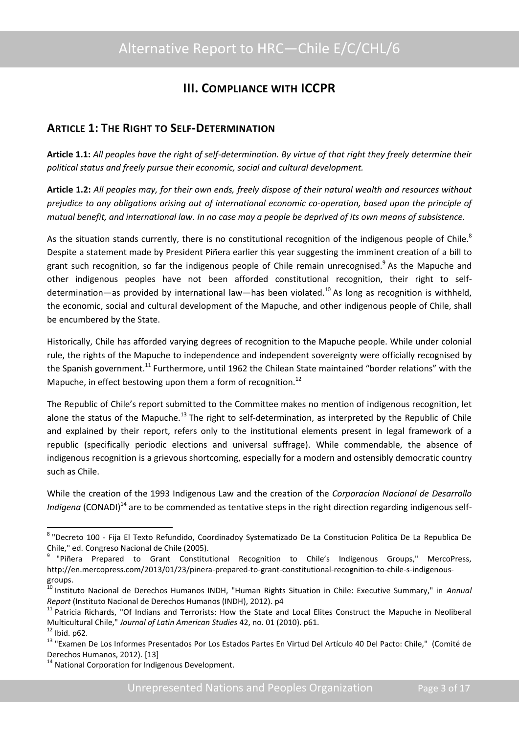# **III. COMPLIANCE WITH ICCPR**

### <span id="page-4-1"></span><span id="page-4-0"></span>**ARTICLE 1: THE RIGHT TO SELF-DETERMINATION**

**Article 1.1:** *All peoples have the right of self-determination. By virtue of that right they freely determine their political status and freely pursue their economic, social and cultural development.*

**Article 1.2:** *All peoples may, for their own ends, freely dispose of their natural wealth and resources without prejudice to any obligations arising out of international economic co-operation, based upon the principle of mutual benefit, and international law. In no case may a people be deprived of its own means of subsistence.*

As the situation stands currently, there is no constitutional recognition of the indigenous people of Chile.<sup>8</sup> Despite a statement made by President Piñera earlier this year suggesting the imminent creation of a bill to grant such recognition, so far the indigenous people of Chile remain unrecognised.<sup>9</sup> As the Mapuche and other indigenous peoples have not been afforded constitutional recognition, their right to selfdetermination—as provided by international law—has been violated.<sup>10</sup> As long as recognition is withheld, the economic, social and cultural development of the Mapuche, and other indigenous people of Chile, shall be encumbered by the State.

Historically, Chile has afforded varying degrees of recognition to the Mapuche people. While under colonial rule, the rights of the Mapuche to independence and independent sovereignty were officially recognised by the Spanish government.<sup>11</sup> Furthermore, until 1962 the Chilean State maintained "border relations" with the Mapuche, in effect bestowing upon them a form of recognition.<sup>12</sup>

The Republic of Chile's report submitted to the Committee makes no mention of indigenous recognition, let alone the status of the Mapuche.<sup>13</sup> The right to self-determination, as interpreted by the Republic of Chile and explained by their report, refers only to the institutional elements present in legal framework of a republic (specifically periodic elections and universal suffrage). While commendable, the absence of indigenous recognition is a grievous shortcoming, especially for a modern and ostensibly democratic country such as Chile.

While the creation of the 1993 Indigenous Law and the creation of the *Corporacion Nacional de Desarrollo Indigena* (CONADI)<sup>14</sup> are to be commended as tentative steps in the right direction regarding indigenous self-

1

<sup>8</sup> "Decreto 100 - Fija El Texto Refundido, Coordinadoy Systematizado De La Constitucion Politica De La Republica De Chile," ed. Congreso Nacional de Chile (2005).

<sup>&</sup>lt;sup>9</sup> "Piñera Prepared to Grant Constitutional Recognition to Chile's Indigenous Groups," MercoPress, http://en.mercopress.com/2013/01/23/pinera-prepared-to-grant-constitutional-recognition-to-chile-s-indigenousgroups.

<sup>10</sup> Instituto Nacional de Derechos Humanos INDH, "Human Rights Situation in Chile: Executive Summary," in *Annual Report* (Instituto Nacional de Derechos Humanos (INDH), 2012). p4

<sup>&</sup>lt;sup>11</sup> Patricia Richards, "Of Indians and Terrorists: How the State and Local Elites Construct the Mapuche in Neoliberal Multicultural Chile," *Journal of Latin American Studies* 42, no. 01 (2010). p61.

 $12$  Ibid. p62.

<sup>&</sup>lt;sup>13</sup> "Examen De Los Informes Presentados Por Los Estados Partes En Virtud Del Artículo 40 Del Pacto: Chile," (Comité de Derechos Humanos, 2012). [13]

<sup>&</sup>lt;sup>14</sup> National Corporation for Indigenous Development.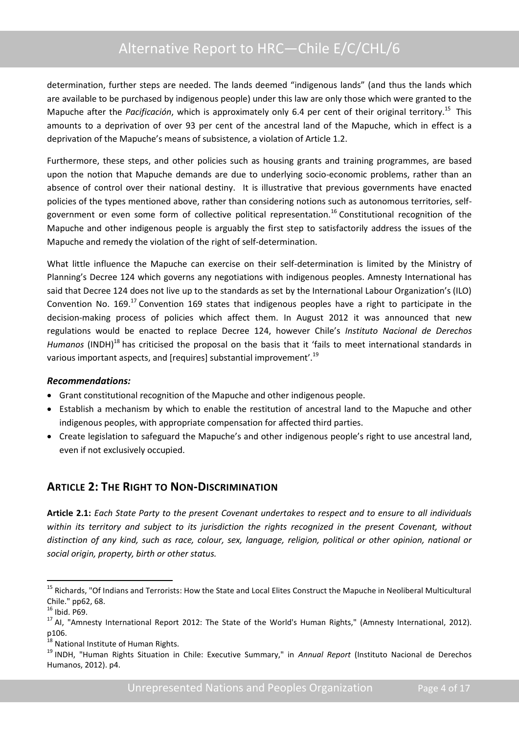determination, further steps are needed. The lands deemed "indigenous lands" (and thus the lands which are available to be purchased by indigenous people) under this law are only those which were granted to the Mapuche after the *Pacificación*, which is approximately only 6.4 per cent of their original territory.<sup>15</sup> This amounts to a deprivation of over 93 per cent of the ancestral land of the Mapuche, which in effect is a deprivation of the Mapuche's means of subsistence, a violation of Article 1.2.

Furthermore, these steps, and other policies such as housing grants and training programmes, are based upon the notion that Mapuche demands are due to underlying socio-economic problems, rather than an absence of control over their national destiny. It is illustrative that previous governments have enacted policies of the types mentioned above, rather than considering notions such as autonomous territories, selfgovernment or even some form of collective political representation.<sup>16</sup> Constitutional recognition of the Mapuche and other indigenous people is arguably the first step to satisfactorily address the issues of the Mapuche and remedy the violation of the right of self-determination.

What little influence the Mapuche can exercise on their self-determination is limited by the Ministry of Planning's Decree 124 which governs any negotiations with indigenous peoples. Amnesty International has said that Decree 124 does not live up to the standards as set by the International Labour Organization's (ILO) Convention No.  $169$ <sup>17</sup> Convention 169 states that indigenous peoples have a right to participate in the decision-making process of policies which affect them. In August 2012 it was announced that new regulations would be enacted to replace Decree 124, however Chile's *Instituto Nacional de Derechos Humanos* (INDH)<sup>18</sup> has criticised the proposal on the basis that it 'fails to meet international standards in various important aspects, and [requires] substantial improvement'.<sup>19</sup>

#### *Recommendations:*

- Grant constitutional recognition of the Mapuche and other indigenous people.
- Establish a mechanism by which to enable the restitution of ancestral land to the Mapuche and other indigenous peoples, with appropriate compensation for affected third parties.
- Create legislation to safeguard the Mapuche's and other indigenous people's right to use ancestral land, even if not exclusively occupied.

## <span id="page-5-0"></span>**ARTICLE 2: THE RIGHT TO NON-DISCRIMINATION**

**Article 2.1:** *Each State Party to the present Covenant undertakes to respect and to ensure to all individuals within its territory and subject to its jurisdiction the rights recognized in the present Covenant, without distinction of any kind, such as race, colour, sex, language, religion, political or other opinion, national or social origin, property, birth or other status.*

<sup>&</sup>lt;sup>15</sup> Richards, "Of Indians and Terrorists: How the State and Local Elites Construct the Mapuche in Neoliberal Multicultural Chile." pp62, 68.

 $16$  Ibid. P69.

<sup>&</sup>lt;sup>17</sup> AI, "Amnesty International Report 2012: The State of the World's Human Rights," (Amnesty International, 2012). p106.

<sup>&</sup>lt;sup>18</sup> National Institute of Human Rights.

<sup>19</sup> INDH, "Human Rights Situation in Chile: Executive Summary," in *Annual Report* (Instituto Nacional de Derechos Humanos, 2012). p4.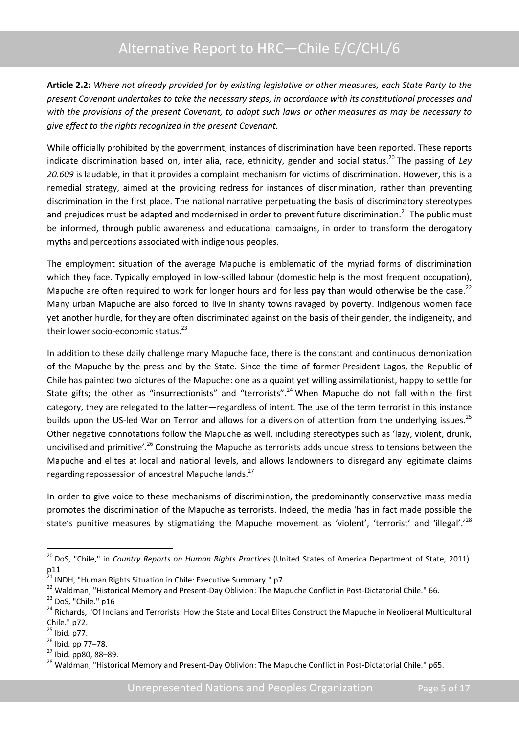**Article 2.2:** *Where not already provided for by existing legislative or other measures, each State Party to the present Covenant undertakes to take the necessary steps, in accordance with its constitutional processes and with the provisions of the present Covenant, to adopt such laws or other measures as may be necessary to give effect to the rights recognized in the present Covenant.*

While officially prohibited by the government, instances of discrimination have been reported. These reports indicate discrimination based on, inter alia, race, ethnicity, gender and social status.<sup>20</sup> The passing of *Lev 20.609* is laudable, in that it provides a complaint mechanism for victims of discrimination. However, this is a remedial strategy, aimed at the providing redress for instances of discrimination, rather than preventing discrimination in the first place. The national narrative perpetuating the basis of discriminatory stereotypes and prejudices must be adapted and modernised in order to prevent future discrimination.<sup>21</sup> The public must be informed, through public awareness and educational campaigns, in order to transform the derogatory myths and perceptions associated with indigenous peoples.

The employment situation of the average Mapuche is emblematic of the myriad forms of discrimination which they face. Typically employed in low-skilled labour (domestic help is the most frequent occupation), Mapuche are often required to work for longer hours and for less pay than would otherwise be the case.<sup>22</sup> Many urban Mapuche are also forced to live in shanty towns ravaged by poverty. Indigenous women face yet another hurdle, for they are often discriminated against on the basis of their gender, the indigeneity, and their lower socio-economic status.<sup>23</sup>

In addition to these daily challenge many Mapuche face, there is the constant and continuous demonization of the Mapuche by the press and by the State. Since the time of former-President Lagos, the Republic of Chile has painted two pictures of the Mapuche: one as a quaint yet willing assimilationist, happy to settle for State gifts; the other as "insurrectionists" and "terrorists".<sup>24</sup> When Mapuche do not fall within the first category, they are relegated to the latter—regardless of intent. The use of the term terrorist in this instance builds upon the US-led War on Terror and allows for a diversion of attention from the underlying issues.<sup>25</sup> Other negative connotations follow the Mapuche as well, including stereotypes such as 'lazy, violent, drunk, uncivilised and primitive'.<sup>26</sup> Construing the Mapuche as terrorists adds undue stress to tensions between the Mapuche and elites at local and national levels, and allows landowners to disregard any legitimate claims regarding repossession of ancestral Mapuche lands.<sup>27</sup>

In order to give voice to these mechanisms of discrimination, the predominantly conservative mass media promotes the discrimination of the Mapuche as terrorists. Indeed, the media 'has in fact made possible the state's punitive measures by stigmatizing the Mapuche movement as 'violent', 'terrorist' and 'illegal'.'<sup>28</sup>

<sup>20</sup> DoS, "Chile," in *Country Reports on Human Rights Practices* (United States of America Department of State, 2011). p11

<sup>&</sup>lt;sup>21</sup> INDH, "Human Rights Situation in Chile: Executive Summary." p7.

<sup>&</sup>lt;sup>22</sup> Waldman, "Historical Memory and Present-Day Oblivion: The Mapuche Conflict in Post-Dictatorial Chile." 66.

<sup>&</sup>lt;sup>23</sup> DoS, "Chile." p16

<sup>&</sup>lt;sup>24</sup> Richards, "Of Indians and Terrorists: How the State and Local Elites Construct the Mapuche in Neoliberal Multicultural Chile." p72.

 $25$  Ibid. p77.

 $^{26}$  Ibid. pp 77-78.

<sup>27</sup> Ibid. pp80, 88–89.

<sup>&</sup>lt;sup>28</sup> Waldman, "Historical Memory and Present-Day Oblivion: The Mapuche Conflict in Post-Dictatorial Chile." p65.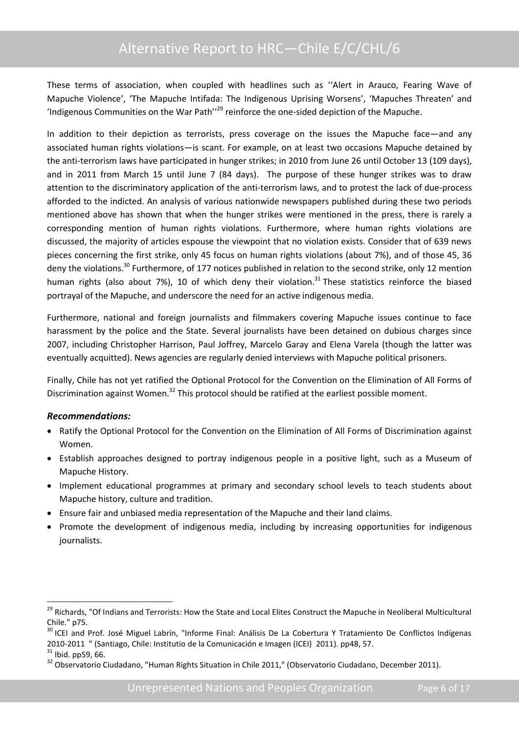These terms of association, when coupled with headlines such as ''Alert in Arauco, Fearing Wave of Mapuche Violence', 'The Mapuche Intifada: The Indigenous Uprising Worsens', 'Mapuches Threaten' and 'Indigenous Communities on the War Path''<sup>29</sup> reinforce the one-sided depiction of the Mapuche.

In addition to their depiction as terrorists, press coverage on the issues the Mapuche face—and any associated human rights violations—is scant. For example, on at least two occasions Mapuche detained by the anti-terrorism laws have participated in hunger strikes; in 2010 from June 26 until October 13 (109 days), and in 2011 from March 15 until June 7 (84 days). The purpose of these hunger strikes was to draw attention to the discriminatory application of the anti-terrorism laws, and to protest the lack of due-process afforded to the indicted. An analysis of various nationwide newspapers published during these two periods mentioned above has shown that when the hunger strikes were mentioned in the press, there is rarely a corresponding mention of human rights violations. Furthermore, where human rights violations are discussed, the majority of articles espouse the viewpoint that no violation exists. Consider that of 639 news pieces concerning the first strike, only 45 focus on human rights violations (about 7%), and of those 45, 36 deny the violations.<sup>30</sup> Furthermore, of 177 notices published in relation to the second strike, only 12 mention human rights (also about 7%), 10 of which deny their violation.<sup>31</sup> These statistics reinforce the biased portrayal of the Mapuche, and underscore the need for an active indigenous media.

Furthermore, national and foreign journalists and filmmakers covering Mapuche issues continue to face harassment by the police and the State. Several journalists have been detained on dubious charges since 2007, including Christopher Harrison, Paul Joffrey, Marcelo Garay and Elena Varela (though the latter was eventually acquitted). News agencies are regularly denied interviews with Mapuche political prisoners.

Finally, Chile has not yet ratified the Optional Protocol for the Convention on the Elimination of All Forms of Discrimination against Women.<sup>32</sup> This protocol should be ratified at the earliest possible moment.

#### *Recommendations:*

- Ratify the Optional Protocol for the Convention on the Elimination of All Forms of Discrimination against Women.
- Establish approaches designed to portray indigenous people in a positive light, such as a Museum of Mapuche History.
- Implement educational programmes at primary and secondary school levels to teach students about Mapuche history, culture and tradition.
- Ensure fair and unbiased media representation of the Mapuche and their land claims.
- Promote the development of indigenous media, including by increasing opportunities for indigenous journalists.

<sup>&</sup>lt;sup>29</sup> Richards, "Of Indians and Terrorists: How the State and Local Elites Construct the Mapuche in Neoliberal Multicultural Chile." p75.

<sup>&</sup>lt;sup>30</sup> ICEI and Prof. José Miguel Labrín, "Informe Final: Análisis De La Cobertura Y Tratamiento De Conflictos Indígenas 2010‐2011 " (Santiago, Chile: Institutio de la Comunicación e Imagen (ICEI) 2011). pp48, 57.

 $31$  Ibid. pp59, 66.

<sup>&</sup>lt;sup>32</sup> Observatorio Ciudadano, "Human Rights Situation in Chile 2011," (Observatorio Ciudadano, December 2011).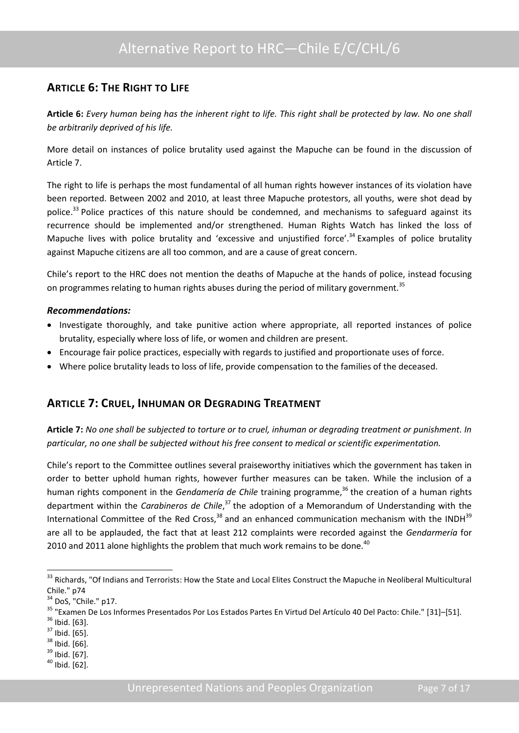## <span id="page-8-0"></span>**ARTICLE 6: THE RIGHT TO LIFE**

**Article 6:** *Every human being has the inherent right to life. This right shall be protected by law. No one shall be arbitrarily deprived of his life.*

More detail on instances of police brutality used against the Mapuche can be found in the discussion of Article 7.

The right to life is perhaps the most fundamental of all human rights however instances of its violation have been reported. Between 2002 and 2010, at least three Mapuche protestors, all youths, were shot dead by police.<sup>33</sup> Police practices of this nature should be condemned, and mechanisms to safeguard against its recurrence should be implemented and/or strengthened. Human Rights Watch has linked the loss of Mapuche lives with police brutality and 'excessive and unjustified force'.<sup>34</sup> Examples of police brutality against Mapuche citizens are all too common, and are a cause of great concern.

Chile's report to the HRC does not mention the deaths of Mapuche at the hands of police, instead focusing on programmes relating to human rights abuses during the period of military government.<sup>35</sup>

#### *Recommendations:*

- Investigate thoroughly, and take punitive action where appropriate, all reported instances of police brutality, especially where loss of life, or women and children are present.
- Encourage fair police practices, especially with regards to justified and proportionate uses of force.
- Where police brutality leads to loss of life, provide compensation to the families of the deceased.

## <span id="page-8-1"></span>**ARTICLE 7: CRUEL, INHUMAN OR DEGRADING TREATMENT**

**Article 7:** *No one shall be subjected to torture or to cruel, inhuman or degrading treatment or punishment. In particular, no one shall be subjected without his free consent to medical or scientific experimentation.*

Chile's report to the Committee outlines several praiseworthy initiatives which the government has taken in order to better uphold human rights, however further measures can be taken. While the inclusion of a human rights component in the *Gendamería de Chile* training programme,<sup>36</sup> the creation of a human rights department within the *Carabineros de Chile*, <sup>37</sup> the adoption of a Memorandum of Understanding with the International Committee of the Red Cross, $38$  and an enhanced communication mechanism with the INDH $39$ are all to be applauded, the fact that at least 212 complaints were recorded against the *Gendarmería* for 2010 and 2011 alone highlights the problem that much work remains to be done.<sup>40</sup>

<sup>&</sup>lt;sup>33</sup> Richards, "Of Indians and Terrorists: How the State and Local Elites Construct the Mapuche in Neoliberal Multicultural Chile." p74

<sup>&</sup>lt;sup>34</sup> DoS, "Chile." p17.

<sup>35</sup> "Examen De Los Informes Presentados Por Los Estados Partes En Virtud Del Artículo 40 Del Pacto: Chile." [31]–[51].

 $36$  Ibid. [63].

 $37$  Ibid. [65].

 $38$  Ibid. [66].

 $39$  Ibid. [67].

 $40$  Ibid. [62].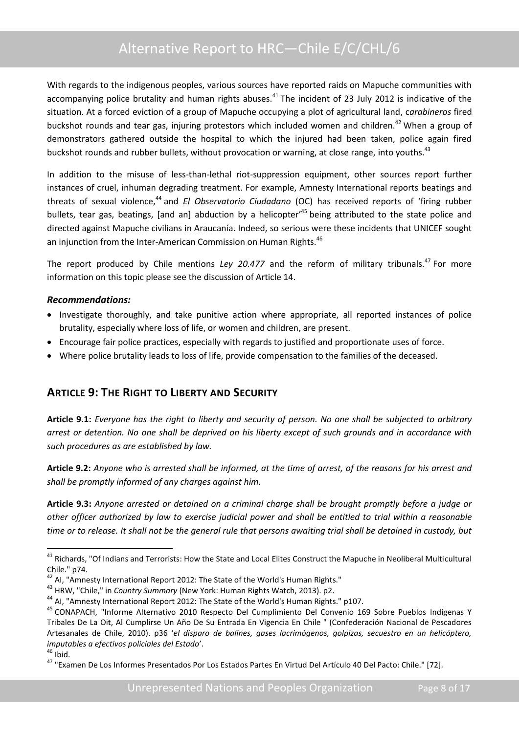With regards to the indigenous peoples, various sources have reported raids on Mapuche communities with accompanying police brutality and human rights abuses.<sup>41</sup> The incident of 23 July 2012 is indicative of the situation. At a forced eviction of a group of Mapuche occupying a plot of agricultural land, c*arabineros* fired buckshot rounds and tear gas, injuring protestors which included women and children.<sup>42</sup> When a group of demonstrators gathered outside the hospital to which the injured had been taken, police again fired buckshot rounds and rubber bullets, without provocation or warning, at close range, into youths.<sup>43</sup>

In addition to the misuse of less-than-lethal riot-suppression equipment, other sources report further instances of cruel, inhuman degrading treatment. For example, Amnesty International reports beatings and threats of sexual violence, <sup>44</sup> and *El Observatorio Ciudadano* (OC) has received reports of 'firing rubber bullets, tear gas, beatings, [and an] abduction by a helicopter'<sup>45</sup> being attributed to the state police and directed against Mapuche civilians in Araucanía. Indeed, so serious were these incidents that UNICEF sought an injunction from the Inter-American Commission on Human Rights.<sup>46</sup>

The report produced by Chile mentions *Ley 20.477* and the reform of military tribunals.<sup>47</sup> For more information on this topic please see the discussion of Article 14.

#### *Recommendations:*

- Investigate thoroughly, and take punitive action where appropriate, all reported instances of police brutality, especially where loss of life, or women and children, are present.
- Encourage fair police practices, especially with regards to justified and proportionate uses of force.
- Where police brutality leads to loss of life, provide compensation to the families of the deceased.

## <span id="page-9-0"></span>**ARTICLE 9: THE RIGHT TO LIBERTY AND SECURITY**

**Article 9.1:** *Everyone has the right to liberty and security of person. No one shall be subjected to arbitrary arrest or detention. No one shall be deprived on his liberty except of such grounds and in accordance with such procedures as are established by law.*

**Article 9.2:** *Anyone who is arrested shall be informed, at the time of arrest, of the reasons for his arrest and shall be promptly informed of any charges against him.* 

**Article 9.3:** *Anyone arrested or detained on a criminal charge shall be brought promptly before a judge or other officer authorized by law to exercise judicial power and shall be entitled to trial within a reasonable time or to release. It shall not be the general rule that persons awaiting trial shall be detained in custody, but* 

 $46$  Ibid.

 $41$  Richards, "Of Indians and Terrorists: How the State and Local Elites Construct the Mapuche in Neoliberal Multicultural Chile." p74.

 $^{42}$  AI, "Amnesty International Report 2012: The State of the World's Human Rights."

<sup>43</sup> HRW, "Chile," in *Country Summary* (New York: Human Rights Watch, 2013). p2.

<sup>&</sup>lt;sup>44</sup> AI. "Amnesty International Report 2012: The State of the World's Human Rights." p107.

<sup>45</sup> CONAPACH, "Informe Alternativo 2010 Respecto Del Cumplimiento Del Convenio 169 Sobre Pueblos Indígenas Y Tribales De La Oit, Al Cumplirse Un Año De Su Entrada En Vigencia En Chile " (Confederación Nacional de Pescadores Artesanales de Chile, 2010). p36 '*el disparo de balines, gases lacrimógenos, golpizas, secuestro en un helicóptero, imputables a efectivos policiales del Estado*'.

<sup>47</sup> "Examen De Los Informes Presentados Por Los Estados Partes En Virtud Del Artículo 40 Del Pacto: Chile." [72].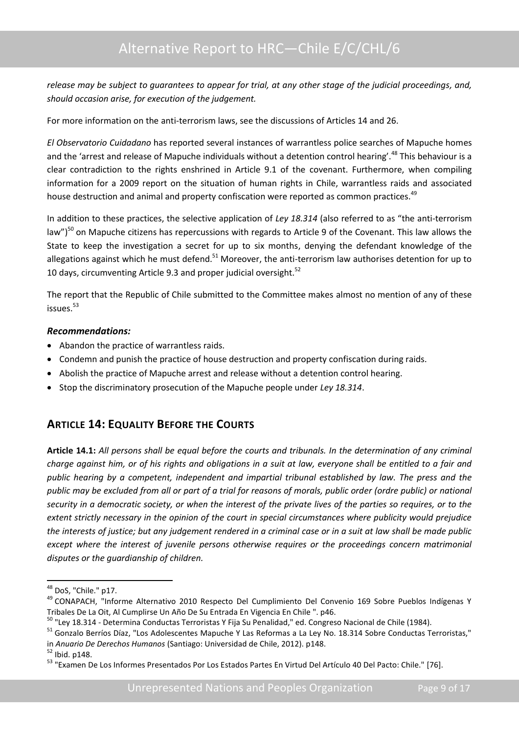*release may be subject to guarantees to appear for trial, at any other stage of the judicial proceedings, and, should occasion arise, for execution of the judgement.*

For more information on the anti-terrorism laws, see the discussions of Articles 14 and 26.

*El Observatorio Cuidadano* has reported several instances of warrantless police searches of Mapuche homes and the 'arrest and release of Mapuche individuals without a detention control hearing'.<sup>48</sup> This behaviour is a clear contradiction to the rights enshrined in Article 9.1 of the covenant. Furthermore, when compiling information for a 2009 report on the situation of human rights in Chile, warrantless raids and associated house destruction and animal and property confiscation were reported as common practices.<sup>49</sup>

In addition to these practices, the selective application of *Ley 18.314* (also referred to as "the anti-terrorism law")<sup>50</sup> on Mapuche citizens has repercussions with regards to Article 9 of the Covenant. This law allows the State to keep the investigation a secret for up to six months, denying the defendant knowledge of the allegations against which he must defend.<sup>51</sup> Moreover, the anti-terrorism law authorises detention for up to 10 days, circumventing Article 9.3 and proper judicial oversight.<sup>52</sup>

The report that the Republic of Chile submitted to the Committee makes almost no mention of any of these issues.<sup>53</sup>

#### *Recommendations:*

- Abandon the practice of warrantless raids.
- Condemn and punish the practice of house destruction and property confiscation during raids.
- Abolish the practice of Mapuche arrest and release without a detention control hearing.
- Stop the discriminatory prosecution of the Mapuche people under *Ley 18.314*.

## <span id="page-10-0"></span>**ARTICLE 14: EQUALITY BEFORE THE COURTS**

**Article 14.1:** *All persons shall be equal before the courts and tribunals. In the determination of any criminal charge against him, or of his rights and obligations in a suit at law, everyone shall be entitled to a fair and public hearing by a competent, independent and impartial tribunal established by law. The press and the public may be excluded from all or part of a trial for reasons of morals, public order (ordre public) or national security in a democratic society, or when the interest of the private lives of the parties so requires, or to the extent strictly necessary in the opinion of the court in special circumstances where publicity would prejudice the interests of justice; but any judgement rendered in a criminal case or in a suit at law shall be made public except where the interest of juvenile persons otherwise requires or the proceedings concern matrimonial disputes or the guardianship of children.*

<sup>48</sup> DoS, "Chile." p17.

<sup>49</sup> CONAPACH, "Informe Alternativo 2010 Respecto Del Cumplimiento Del Convenio 169 Sobre Pueblos Indígenas Y Tribales De La Oit, Al Cumplirse Un Año De Su Entrada En Vigencia En Chile ". p46.

<sup>50</sup> "Ley 18.314 - Determina Conductas Terroristas Y Fija Su Penalidad," ed. Congreso Nacional de Chile (1984).

<sup>&</sup>lt;sup>51</sup> Gonzalo Berríos Díaz, "Los Adolescentes Mapuche Y Las Reformas a La Ley No. 18.314 Sobre Conductas Terroristas," in *Anuario De Derechos Humanos* (Santiago: Universidad de Chile, 2012). p148.

<sup>52</sup> Ibid. p148.

<sup>53</sup> "Examen De Los Informes Presentados Por Los Estados Partes En Virtud Del Artículo 40 Del Pacto: Chile." [76].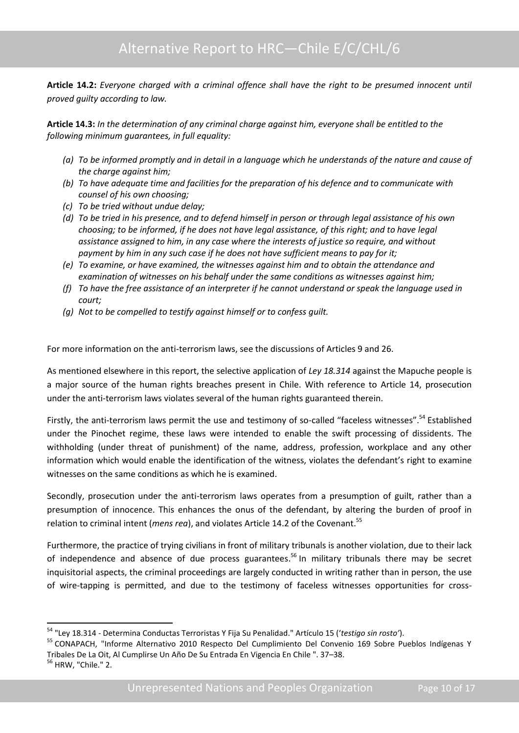**Article 14.2:** *Everyone charged with a criminal offence shall have the right to be presumed innocent until proved guilty according to law.*

**Article 14.3:** *In the determination of any criminal charge against him, everyone shall be entitled to the following minimum guarantees, in full equality:* 

- *(a) To be informed promptly and in detail in a language which he understands of the nature and cause of the charge against him;*
- *(b) To have adequate time and facilities for the preparation of his defence and to communicate with counsel of his own choosing;*
- *(c) To be tried without undue delay;*
- *(d) To be tried in his presence, and to defend himself in person or through legal assistance of his own choosing; to be informed, if he does not have legal assistance, of this right; and to have legal assistance assigned to him, in any case where the interests of justice so require, and without payment by him in any such case if he does not have sufficient means to pay for it;*
- *(e) To examine, or have examined, the witnesses against him and to obtain the attendance and examination of witnesses on his behalf under the same conditions as witnesses against him;*
- *(f) To have the free assistance of an interpreter if he cannot understand or speak the language used in court;*
- *(g) Not to be compelled to testify against himself or to confess guilt.*

For more information on the anti-terrorism laws, see the discussions of Articles 9 and 26.

As mentioned elsewhere in this report, the selective application of *Ley 18.314* against the Mapuche people is a major source of the human rights breaches present in Chile. With reference to Article 14, prosecution under the anti-terrorism laws violates several of the human rights guaranteed therein.

Firstly, the anti-terrorism laws permit the use and testimony of so-called "faceless witnesses".<sup>54</sup> Established under the Pinochet regime, these laws were intended to enable the swift processing of dissidents. The withholding (under threat of punishment) of the name, address, profession, workplace and any other information which would enable the identification of the witness, violates the defendant's right to examine witnesses on the same conditions as which he is examined.

Secondly, prosecution under the anti-terrorism laws operates from a presumption of guilt, rather than a presumption of innocence. This enhances the onus of the defendant, by altering the burden of proof in relation to criminal intent (*mens rea*), and violates Article 14.2 of the Covenant.<sup>55</sup>

Furthermore, the practice of trying civilians in front of military tribunals is another violation, due to their lack of independence and absence of due process guarantees.<sup>56</sup> In military tribunals there may be secret inquisitorial aspects, the criminal proceedings are largely conducted in writing rather than in person, the use of wire-tapping is permitted, and due to the testimony of faceless witnesses opportunities for cross-

<sup>54</sup> "Ley 18.314 - Determina Conductas Terroristas Y Fija Su Penalidad." Artículo 15 ('*testigo sin rosto'*).

<sup>55</sup> CONAPACH, "Informe Alternativo 2010 Respecto Del Cumplimiento Del Convenio 169 Sobre Pueblos Indígenas Y Tribales De La Oit, Al Cumplirse Un Año De Su Entrada En Vigencia En Chile ". 37–38.

<sup>56</sup> HRW, "Chile." 2.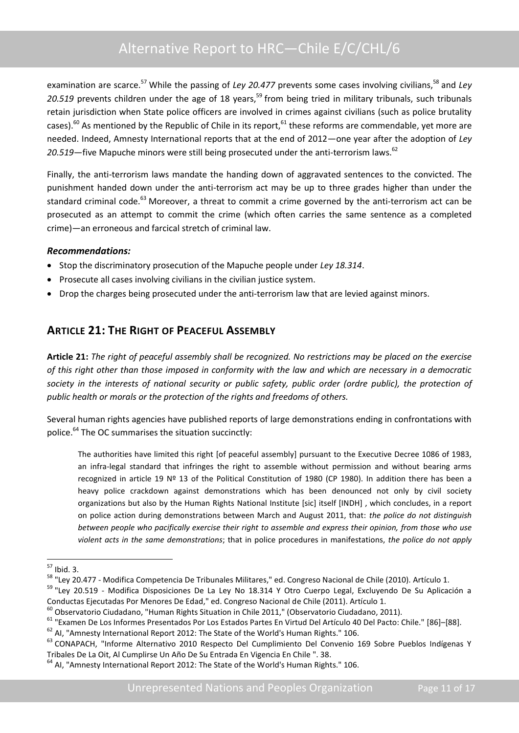examination are scarce.<sup>57</sup> While the passing of *Ley 20.477* prevents some cases involving civilians,<sup>58</sup> and *Ley* 20.519 prevents children under the age of 18 years,<sup>59</sup> from being tried in military tribunals, such tribunals retain jurisdiction when State police officers are involved in crimes against civilians (such as police brutality cases).<sup>60</sup> As mentioned by the Republic of Chile in its report,  $61$  these reforms are commendable, yet more are needed. Indeed, Amnesty International reports that at the end of 2012—one year after the adoption of *Ley*  20.519—five Mapuche minors were still being prosecuted under the anti-terrorism laws.<sup>62</sup>

Finally, the anti-terrorism laws mandate the handing down of aggravated sentences to the convicted. The punishment handed down under the anti-terrorism act may be up to three grades higher than under the standard criminal code.<sup>63</sup> Moreover, a threat to commit a crime governed by the anti-terrorism act can be prosecuted as an attempt to commit the crime (which often carries the same sentence as a completed crime)—an erroneous and farcical stretch of criminal law.

#### *Recommendations:*

- Stop the discriminatory prosecution of the Mapuche people under *Ley 18.314*.
- Prosecute all cases involving civilians in the civilian justice system.
- Drop the charges being prosecuted under the anti-terrorism law that are levied against minors.

## <span id="page-12-0"></span>**ARTICLE 21: THE RIGHT OF PEACEFUL ASSEMBLY**

**Article 21:** *The right of peaceful assembly shall be recognized. No restrictions may be placed on the exercise of this right other than those imposed in conformity with the law and which are necessary in a democratic*  society in the interests of national security or public safety, public order (ordre public), the protection of *public health or morals or the protection of the rights and freedoms of others.*

Several human rights agencies have published reports of large demonstrations ending in confrontations with police.<sup>64</sup> The OC summarises the situation succinctly:

The authorities have limited this right [of peaceful assembly] pursuant to the Executive Decree 1086 of 1983, an infra-legal standard that infringes the right to assemble without permission and without bearing arms recognized in article 19 Nº 13 of the Political Constitution of 1980 (CP 1980). In addition there has been a heavy police crackdown against demonstrations which has been denounced not only by civil society organizations but also by the Human Rights National Institute [sic] itself [INDH] , which concludes, in a report on police action during demonstrations between March and August 2011, that: *the police do not distinguish between people who pacifically exercise their right to assemble and express their opinion, from those who use violent acts in the same demonstrations*; that in police procedures in manifestations, *the police do not apply* 

**<sup>.</sup>**  $57$  Ibid. 3.

<sup>58</sup> "Ley 20.477 - Modifica Competencia De Tribunales Militares," ed. Congreso Nacional de Chile (2010). Artículo 1.

<sup>&</sup>lt;sup>59</sup> "Lev 20.519 - Modifica Disposiciones De La Ley No 18.314 Y Otro Cuerpo Legal, Excluyendo De Su Aplicación a Conductas Ejecutadas Por Menores De Edad," ed. Congreso Nacional de Chile (2011). Artículo 1.

 $^{60}$  Observatorio Ciudadano, "Human Rights Situation in Chile 2011," (Observatorio Ciudadano, 2011).

<sup>61</sup> "Examen De Los Informes Presentados Por Los Estados Partes En Virtud Del Artículo 40 Del Pacto: Chile." [86]–[88].

<sup>&</sup>lt;sup>62</sup> AI, "Amnesty International Report 2012: The State of the World's Human Rights." 106.

<sup>63</sup> CONAPACH, "Informe Alternativo 2010 Respecto Del Cumplimiento Del Convenio 169 Sobre Pueblos Indígenas Y Tribales De La Oit, Al Cumplirse Un Año De Su Entrada En Vigencia En Chile ". 38.

<sup>&</sup>lt;sup>64</sup> AI, "Amnesty International Report 2012: The State of the World's Human Rights." 106.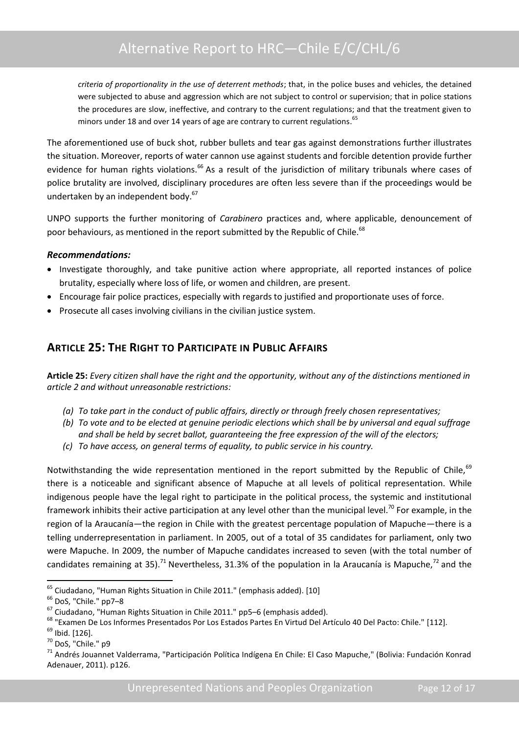*criteria of proportionality in the use of deterrent methods*; that, in the police buses and vehicles, the detained were subjected to abuse and aggression which are not subject to control or supervision; that in police stations the procedures are slow, ineffective, and contrary to the current regulations; and that the treatment given to minors under 18 and over 14 years of age are contrary to current regulations.<sup>65</sup>

The aforementioned use of buck shot, rubber bullets and tear gas against demonstrations further illustrates the situation. Moreover, reports of water cannon use against students and forcible detention provide further evidence for human rights violations.<sup>66</sup> As a result of the jurisdiction of military tribunals where cases of police brutality are involved, disciplinary procedures are often less severe than if the proceedings would be undertaken by an independent body.<sup>67</sup>

UNPO supports the further monitoring of *Carabinero* practices and, where applicable, denouncement of poor behaviours, as mentioned in the report submitted by the Republic of Chile.<sup>68</sup>

#### *Recommendations:*

- Investigate thoroughly, and take punitive action where appropriate, all reported instances of police brutality, especially where loss of life, or women and children, are present.
- Encourage fair police practices, especially with regards to justified and proportionate uses of force.
- Prosecute all cases involving civilians in the civilian justice system.

## <span id="page-13-0"></span>**ARTICLE 25: THE RIGHT TO PARTICIPATE IN PUBLIC AFFAIRS**

**Article 25:** *Every citizen shall have the right and the opportunity, without any of the distinctions mentioned in article 2 and without unreasonable restrictions:*

- *(a) To take part in the conduct of public affairs, directly or through freely chosen representatives;*
- *(b) To vote and to be elected at genuine periodic elections which shall be by universal and equal suffrage and shall be held by secret ballot, guaranteeing the free expression of the will of the electors;*
- *(c) To have access, on general terms of equality, to public service in his country.*

Notwithstanding the wide representation mentioned in the report submitted by the Republic of Chile, 69 there is a noticeable and significant absence of Mapuche at all levels of political representation. While indigenous people have the legal right to participate in the political process, the systemic and institutional framework inhibits their active participation at any level other than the municipal level.<sup>70</sup> For example, in the region of la Araucanía—the region in Chile with the greatest percentage population of Mapuche—there is a telling underrepresentation in parliament. In 2005, out of a total of 35 candidates for parliament, only two were Mapuche. In 2009, the number of Mapuche candidates increased to seven (with the total number of candidates remaining at 35).<sup>71</sup> Nevertheless, 31.3% of the population in la Araucanía is Mapuche,<sup>72</sup> and the

<sup>65</sup> Ciudadano, "Human Rights Situation in Chile 2011." (emphasis added). [10]

<sup>66</sup> DoS, "Chile." pp7–8

 $\frac{67}{100}$  Ciudadano, "Human Rights Situation in Chile 2011." pp5–6 (emphasis added).

<sup>68</sup> "Examen De Los Informes Presentados Por Los Estados Partes En Virtud Del Artículo 40 Del Pacto: Chile." [112].

<sup>69</sup> Ibid. [126].

<sup>70</sup> DoS, "Chile." p9

<sup>71</sup> Andrés Jouannet Valderrama, "Participación Política Indígena En Chile: El Caso Mapuche," (Bolivia: Fundación Konrad Adenauer, 2011). p126.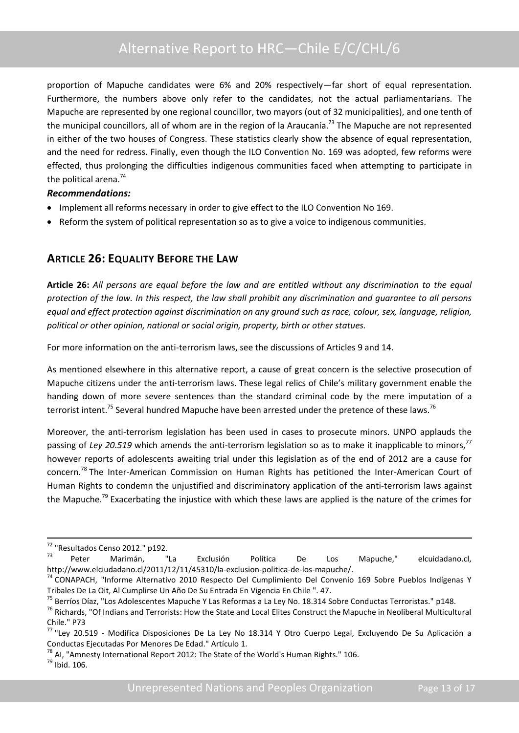proportion of Mapuche candidates were 6% and 20% respectively—far short of equal representation. Furthermore, the numbers above only refer to the candidates, not the actual parliamentarians. The Mapuche are represented by one regional councillor, two mayors (out of 32 municipalities), and one tenth of the municipal councillors, all of whom are in the region of la Araucanía.<sup>73</sup> The Mapuche are not represented in either of the two houses of Congress. These statistics clearly show the absence of equal representation, and the need for redress. Finally, even though the ILO Convention No. 169 was adopted, few reforms were effected, thus prolonging the difficulties indigenous communities faced when attempting to participate in the political arena.<sup>74</sup>

#### *Recommendations:*

- Implement all reforms necessary in order to give effect to the ILO Convention No 169.
- Reform the system of political representation so as to give a voice to indigenous communities.

## <span id="page-14-0"></span>**ARTICLE 26: EQUALITY BEFORE THE LAW**

**Article 26:** *All persons are equal before the law and are entitled without any discrimination to the equal protection of the law. In this respect, the law shall prohibit any discrimination and guarantee to all persons equal and effect protection against discrimination on any ground such as race, colour, sex, language, religion, political or other opinion, national or social origin, property, birth or other statues.*

For more information on the anti-terrorism laws, see the discussions of Articles 9 and 14.

As mentioned elsewhere in this alternative report, a cause of great concern is the selective prosecution of Mapuche citizens under the anti-terrorism laws. These legal relics of Chile's military government enable the handing down of more severe sentences than the standard criminal code by the mere imputation of a terrorist intent.<sup>75</sup> Several hundred Mapuche have been arrested under the pretence of these laws.<sup>76</sup>

Moreover, the anti-terrorism legislation has been used in cases to prosecute minors. UNPO applauds the passing of *Ley* 20.519 which amends the anti-terrorism legislation so as to make it inapplicable to minors,<sup>77</sup> however reports of adolescents awaiting trial under this legislation as of the end of 2012 are a cause for concern.<sup>78</sup> The Inter-American Commission on Human Rights has petitioned the Inter-American Court of Human Rights to condemn the unjustified and discriminatory application of the anti-terrorism laws against the Mapuche.<sup>79</sup> Exacerbating the injustice with which these laws are applied is the nature of the crimes for

 $\overline{\phantom{a}}$ 

<sup>&</sup>lt;sup>72</sup> "Resultados Censo 2012." p192.

<sup>&</sup>lt;sup>73</sup> Peter Marimán, "La Exclusión Política De Los Mapuche," elcuidadano.cl, http://www.elciudadano.cl/2011/12/11/45310/la-exclusion-politica-de-los-mapuche/.

<sup>74</sup> CONAPACH, "Informe Alternativo 2010 Respecto Del Cumplimiento Del Convenio 169 Sobre Pueblos Indígenas Y Tribales De La Oit, Al Cumplirse Un Año De Su Entrada En Vigencia En Chile ". 47.

<sup>&</sup>lt;sup>75</sup> Berríos Díaz, "Los Adolescentes Mapuche Y Las Reformas a La Ley No. 18.314 Sobre Conductas Terroristas." p148.

<sup>&</sup>lt;sup>76</sup> Richards, "Of Indians and Terrorists: How the State and Local Elites Construct the Mapuche in Neoliberal Multicultural Chile." P73

<sup>77</sup> "Ley 20.519 - Modifica Disposiciones De La Ley No 18.314 Y Otro Cuerpo Legal, Excluyendo De Su Aplicación a Conductas Ejecutadas Por Menores De Edad." Artículo 1.

 $78$  AI, "Amnesty International Report 2012: The State of the World's Human Rights." 106.

<sup>79</sup> Ibid. 106.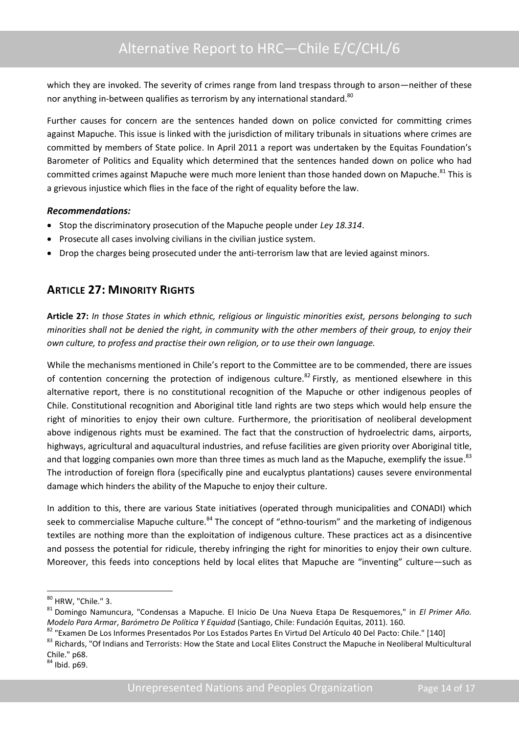which they are invoked. The severity of crimes range from land trespass through to arson—neither of these nor anything in-between qualifies as terrorism by any international standard.<sup>80</sup>

Further causes for concern are the sentences handed down on police convicted for committing crimes against Mapuche. This issue is linked with the jurisdiction of military tribunals in situations where crimes are committed by members of State police. In April 2011 a report was undertaken by the Equitas Foundation's Barometer of Politics and Equality which determined that the sentences handed down on police who had committed crimes against Mapuche were much more lenient than those handed down on Mapuche.<sup>81</sup> This is a grievous injustice which flies in the face of the right of equality before the law.

#### *Recommendations:*

- Stop the discriminatory prosecution of the Mapuche people under *Ley 18.314*.
- Prosecute all cases involving civilians in the civilian justice system.
- Drop the charges being prosecuted under the anti-terrorism law that are levied against minors.

## <span id="page-15-0"></span>**ARTICLE 27: MINORITY RIGHTS**

**Article 27:** *In those States in which ethnic, religious or linguistic minorities exist, persons belonging to such minorities shall not be denied the right, in community with the other members of their group, to enjoy their own culture, to profess and practise their own religion, or to use their own language.*

While the mechanisms mentioned in Chile's report to the Committee are to be commended, there are issues of contention concerning the protection of indigenous culture.<sup>82</sup> Firstly, as mentioned elsewhere in this alternative report, there is no constitutional recognition of the Mapuche or other indigenous peoples of Chile. Constitutional recognition and Aboriginal title land rights are two steps which would help ensure the right of minorities to enjoy their own culture. Furthermore, the prioritisation of neoliberal development above indigenous rights must be examined. The fact that the construction of hydroelectric dams, airports, highways, agricultural and aquacultural industries, and refuse facilities are given priority over Aboriginal title, and that logging companies own more than three times as much land as the Mapuche, exemplify the issue.<sup>83</sup> The introduction of foreign flora (specifically pine and eucalyptus plantations) causes severe environmental damage which hinders the ability of the Mapuche to enjoy their culture.

In addition to this, there are various State initiatives (operated through municipalities and CONADI) which seek to commercialise Mapuche culture.<sup>84</sup> The concept of "ethno-tourism" and the marketing of indigenous textiles are nothing more than the exploitation of indigenous culture. These practices act as a disincentive and possess the potential for ridicule, thereby infringing the right for minorities to enjoy their own culture. Moreover, this feeds into conceptions held by local elites that Mapuche are "inventing" culture—such as

 $\overline{\phantom{a}}$ 

<sup>&</sup>lt;sup>80</sup> HRW, "Chile." 3.

<sup>81</sup> Domingo Namuncura, "Condensas a Mapuche. El Inicio De Una Nueva Etapa De Resquemores," in *El Primer Año. Modelo Para Armar*, *Barómetro De Política Y Equidad* (Santiago, Chile: Fundación Equitas, 2011). 160.

<sup>82</sup> "Examen De Los Informes Presentados Por Los Estados Partes En Virtud Del Artículo 40 Del Pacto: Chile." [140]

<sup>83</sup> Richards, "Of Indians and Terrorists: How the State and Local Elites Construct the Mapuche in Neoliberal Multicultural Chile." p68.

 $84$  Ibid. p69.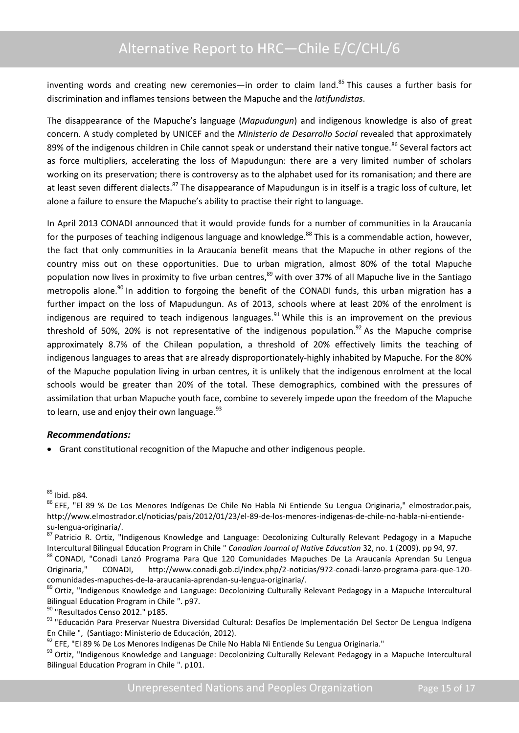inventing words and creating new ceremonies—in order to claim land.<sup>85</sup> This causes a further basis for discrimination and inflames tensions between the Mapuche and the *latifundistas*.

The disappearance of the Mapuche's language (*Mapudungun*) and indigenous knowledge is also of great concern. A study completed by UNICEF and the *Ministerio de Desarrollo Social* revealed that approximately 89% of the indigenous children in Chile cannot speak or understand their native tongue.<sup>86</sup> Several factors act as force multipliers, accelerating the loss of Mapudungun: there are a very limited number of scholars working on its preservation; there is controversy as to the alphabet used for its romanisation; and there are at least seven different dialects.<sup>87</sup> The disappearance of Mapudungun is in itself is a tragic loss of culture, let alone a failure to ensure the Mapuche's ability to practise their right to language.

In April 2013 CONADI announced that it would provide funds for a number of communities in la Araucanía for the purposes of teaching indigenous language and knowledge.<sup>88</sup> This is a commendable action, however, the fact that only communities in la Araucanía benefit means that the Mapuche in other regions of the country miss out on these opportunities. Due to urban migration, almost 80% of the total Mapuche population now lives in proximity to five urban centres,<sup>89</sup> with over 37% of all Mapuche live in the Santiago metropolis alone.<sup>90</sup> In addition to forgoing the benefit of the CONADI funds, this urban migration has a further impact on the loss of Mapudungun. As of 2013, schools where at least 20% of the enrolment is indigenous are required to teach indigenous languages.<sup>91</sup> While this is an improvement on the previous threshold of 50%, 20% is not representative of the indigenous population.<sup>92</sup> As the Mapuche comprise approximately 8.7% of the Chilean population, a threshold of 20% effectively limits the teaching of indigenous languages to areas that are already disproportionately-highly inhabited by Mapuche. For the 80% of the Mapuche population living in urban centres, it is unlikely that the indigenous enrolment at the local schools would be greater than 20% of the total. These demographics, combined with the pressures of assimilation that urban Mapuche youth face, combine to severely impede upon the freedom of the Mapuche to learn, use and enjoy their own language. $93$ 

#### *Recommendations:*

Grant constitutional recognition of the Mapuche and other indigenous people.

**<sup>.</sup>**  $85$  Ibid. p84.

<sup>&</sup>lt;sup>86</sup> EFE, "El 89 % De Los Menores Indígenas De Chile No Habla Ni Entiende Su Lengua Originaria," elmostrador.pais, http://www.elmostrador.cl/noticias/pais/2012/01/23/el-89-de-los-menores-indigenas-de-chile-no-habla-ni-entiendesu-lengua-originaria/.

<sup>87</sup> Patricio R. Ortiz, "Indigenous Knowledge and Language: Decolonizing Culturally Relevant Pedagogy in a Mapuche Intercultural Bilingual Education Program in Chile " *Canadian Journal of Native Education* 32, no. 1 (2009). pp 94, 97.

<sup>88</sup> CONADI, "Conadi Lanzó Programa Para Que 120 Comunidades Mapuches De La Araucanía Aprendan Su Lengua Originaria," CONADI, http://www.conadi.gob.cl/index.php/2-noticias/972-conadi-lanzo-programa-para-que-120 comunidades-mapuches-de-la-araucania-aprendan-su-lengua-originaria/.

<sup>89</sup> Ortiz, "Indigenous Knowledge and Language: Decolonizing Culturally Relevant Pedagogy in a Mapuche Intercultural Bilingual Education Program in Chile ". p97.

<sup>&</sup>lt;sup>90</sup> "Resultados Censo 2012." p185.

<sup>91 &</sup>quot;Educación Para Preservar Nuestra Diversidad Cultural: Desafíos De Implementación Del Sector De Lengua Indígena En Chile ", (Santiago: Ministerio de Educación, 2012).

<sup>92</sup> EFE, "El 89 % De Los Menores Indígenas De Chile No Habla Ni Entiende Su Lengua Originaria."

<sup>93</sup> Ortiz, "Indigenous Knowledge and Language: Decolonizing Culturally Relevant Pedagogy in a Mapuche Intercultural Bilingual Education Program in Chile ". p101.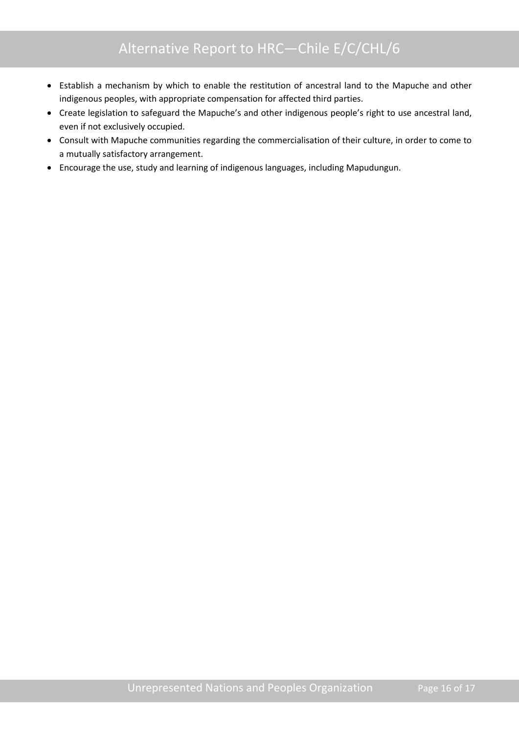- Establish a mechanism by which to enable the restitution of ancestral land to the Mapuche and other indigenous peoples, with appropriate compensation for affected third parties.
- Create legislation to safeguard the Mapuche's and other indigenous people's right to use ancestral land, even if not exclusively occupied.
- Consult with Mapuche communities regarding the commercialisation of their culture, in order to come to a mutually satisfactory arrangement.
- Encourage the use, study and learning of indigenous languages, including Mapudungun.